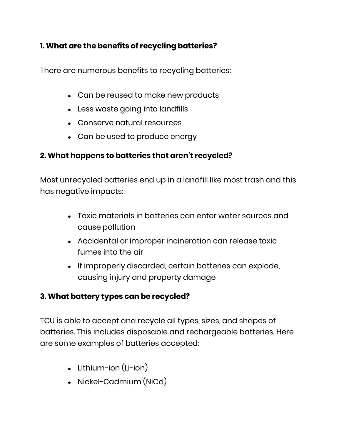## **1. What are the benefits of recycling batteries?**

There are numerous benefits to recycling batteries:

- Can be reused to make new products
- Less waste going into landfills
- Conserve natural resources
- Can be used to produce energy

# **2. What happens to batteries that aren't recycled?**

Most unrecycled batteries end up in a landfill like most trash and this has negative impacts:

- Toxic materials in batteries can enter water sources and cause pollution
- Accidental or improper incineration can release toxic fumes into the air
- If improperly discarded, certain batteries can explode, causing injury and property damage

### **3. What battery types can be recycled?**

TCU is able to accept and recycle all types, sizes, and shapes of batteries. This includes disposable and rechargeable batteries. Here are some examples of batteries accepted:

- $\bullet$  Lithium-ion (Li-ion)
- Nickel-Cadmium (NiCd)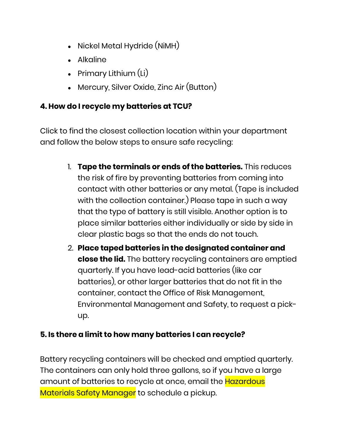- Nickel Metal Hydride (NiMH)
- Alkaline
- Primary Lithium  $(Li)$
- Mercury, Silver Oxide, Zinc Air (Button)

### **4. How do I recycle my batteries at TCU?**

Click to find the closest collection location within your department and follow the below steps to ensure safe recycling:

- 1. **Tape the terminals or ends of the batteries.** This reduces the risk of fire by preventing batteries from coming into contact with other batteries or any metal. (Tape is included with the collection container.) Please tape in such a way that the type of battery is still visible. Another option is to place similar batteries either individually or side by side in clear plastic bags so that the ends do not touch.
- 2. **Place taped batteries in the designated container and close the lid.** The battery recycling containers are emptied quarterly. If you have lead-acid batteries (like car batteries), or other larger batteries that do not fit in the container, contact the Office of Risk Management, Environmental Management and Safety, to request a pickup.

### **5. Is there a limit to how many batteries I can recycle?**

Battery recycling containers will be checked and emptied quarterly. The containers can only hold three gallons, so if you have a large amount of batteries to recycle at once, email the Hazardous Materials Safety Manager to schedule a pickup.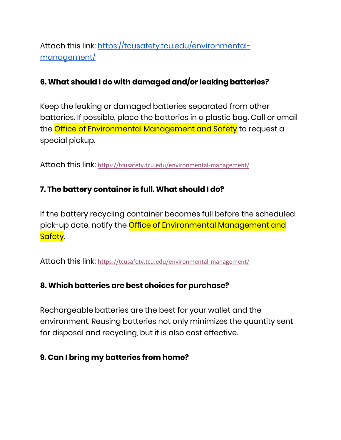Attach this link: [https://tcusafety.tcu.edu/environmental](https://tcusafety.tcu.edu/environmental-management/)[management/](https://tcusafety.tcu.edu/environmental-management/)

## **6. What should I do with damaged and/or leaking batteries?**

Keep the leaking or damaged batteries separated from other batteries. If possible, place the batteries in a plastic bag. Call or email the Office of Environmental Management and Safety to request a special pickup.

Attach this link: <https://tcusafety.tcu.edu/environmental-management/>

### **7. The battery container is full. What should I do?**

If the battery recycling container becomes full before the scheduled pick-up date, notify the *Office of Environmental Management and* Safety.

Attach this link: <https://tcusafety.tcu.edu/environmental-management/>

### **8. Which batteries are best choices for purchase?**

Rechargeable batteries are the best for your wallet and the environment. Reusing batteries not only minimizes the quantity sent for disposal and recycling, but it is also cost effective.

#### **9. Can I bring my batteries from home?**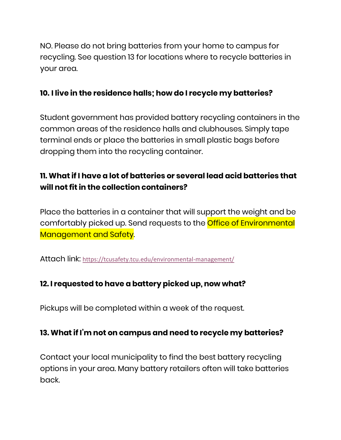NO. Please do not bring batteries from your home to campus for recycling. See question 13 for locations where to recycle batteries in your area.

#### **10. I live in the residence halls; how do I recycle my batteries?**

Student government has provided battery recycling containers in the common areas of the residence halls and clubhouses. Simply tape terminal ends or place the batteries in small plastic bags before dropping them into the recycling container.

# **11. What if I have a lot of batteries or several lead acid batteries that will not fit in the collection containers?**

Place the batteries in a container that will support the weight and be comfortably picked up. Send requests to the Office of Environmental Management and Safety.

Attach link: <https://tcusafety.tcu.edu/environmental-management/>

### **12. I requested to have a battery picked up, now what?**

Pickups will be completed within a week of the request.

## **13. What if I'm not on campus and need to recycle my batteries?**

Contact your local municipality to find the best battery recycling options in your area. Many battery retailers often will take batteries back.